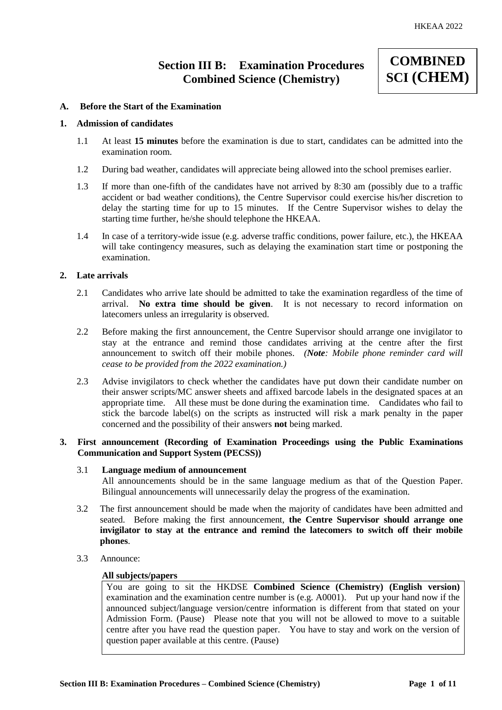## **Section III B: Examination Procedures Combined Science (Chemistry)**

# **COMBINED SCI (CHEM)**

#### **A. Before the Start of the Examination**

#### **1. Admission of candidates**

- 1.1 At least **15 minutes** before the examination is due to start, candidates can be admitted into the examination room.
- 1.2 During bad weather, candidates will appreciate being allowed into the school premises earlier.
- 1.3 If more than one-fifth of the candidates have not arrived by 8:30 am (possibly due to a traffic accident or bad weather conditions), the Centre Supervisor could exercise his/her discretion to delay the starting time for up to 15 minutes. If the Centre Supervisor wishes to delay the starting time further, he/she should telephone the HKEAA.
- 1.4 In case of a territory-wide issue (e.g. adverse traffic conditions, power failure, etc.), the HKEAA will take contingency measures, such as delaying the examination start time or postponing the examination.

#### **2. Late arrivals**

- 2.1 Candidates who arrive late should be admitted to take the examination regardless of the time of arrival. **No extra time should be given**. It is not necessary to record information on latecomers unless an irregularity is observed.
- 2.2 Before making the first announcement, the Centre Supervisor should arrange one invigilator to stay at the entrance and remind those candidates arriving at the centre after the first announcement to switch off their mobile phones. *(Note: Mobile phone reminder card will cease to be provided from the 2022 examination.)*
- 2.3 Advise invigilators to check whether the candidates have put down their candidate number on their answer scripts/MC answer sheets and affixed barcode labels in the designated spaces at an appropriate time. All these must be done during the examination time. Candidates who fail to stick the barcode label(s) on the scripts as instructed will risk a mark penalty in the paper concerned and the possibility of their answers **not** being marked.

#### **3. First announcement (Recording of Examination Proceedings using the Public Examinations Communication and Support System (PECSS))**

#### 3.1 **Language medium of announcement**

All announcements should be in the same language medium as that of the Question Paper. Bilingual announcements will unnecessarily delay the progress of the examination.

- 3.2 The first announcement should be made when the majority of candidates have been admitted and seated. Before making the first announcement, **the Centre Supervisor should arrange one invigilator to stay at the entrance and remind the latecomers to switch off their mobile phones**.
- 3.3 Announce:

#### **All subjects/papers**

You are going to sit the HKDSE **Combined Science (Chemistry) (English version)** examination and the examination centre number is (e.g. A0001). Put up your hand now if the announced subject/language version/centre information is different from that stated on your Admission Form. (Pause) Please note that you will not be allowed to move to a suitable centre after you have read the question paper. You have to stay and work on the version of question paper available at this centre. (Pause)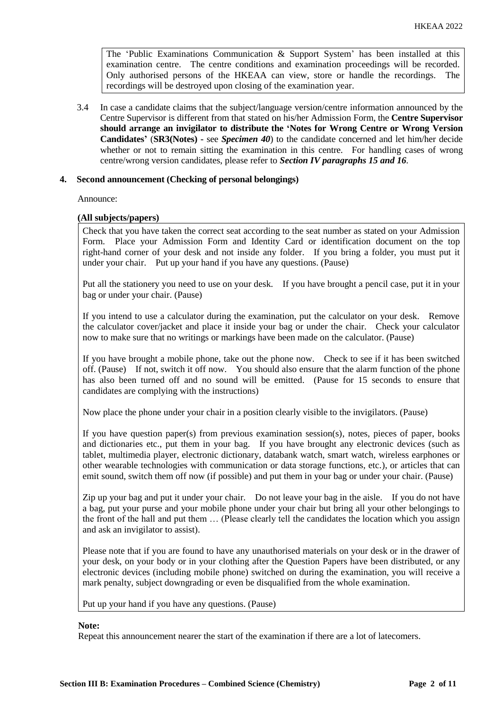The 'Public Examinations Communication  $\&$  Support System' has been installed at this examination centre. The centre conditions and examination proceedings will be recorded. Only authorised persons of the HKEAA can view, store or handle the recordings. The recordings will be destroyed upon closing of the examination year.

3.4 In case a candidate claims that the subject/language version/centre information announced by the Centre Supervisor is different from that stated on his/her Admission Form, the **Centre Supervisor should arrange an invigilator to distribute the 'Notes for Wrong Centre or Wrong Version Candidates'** (**SR3(Notes) -** see *Specimen 40*) to the candidate concerned and let him/her decide whether or not to remain sitting the examination in this centre. For handling cases of wrong centre/wrong version candidates, please refer to *Section IV paragraphs 15 and 16*.

#### **4. Second announcement (Checking of personal belongings)**

Announce:

#### **(All subjects/papers)**

Check that you have taken the correct seat according to the seat number as stated on your Admission Form. Place your Admission Form and Identity Card or identification document on the top right-hand corner of your desk and not inside any folder. If you bring a folder, you must put it under your chair. Put up your hand if you have any questions. (Pause)

Put all the stationery you need to use on your desk. If you have brought a pencil case, put it in your bag or under your chair. (Pause)

If you intend to use a calculator during the examination, put the calculator on your desk. Remove the calculator cover/jacket and place it inside your bag or under the chair. Check your calculator now to make sure that no writings or markings have been made on the calculator. (Pause)

If you have brought a mobile phone, take out the phone now. Check to see if it has been switched off. (Pause) If not, switch it off now. You should also ensure that the alarm function of the phone has also been turned off and no sound will be emitted. (Pause for 15 seconds to ensure that candidates are complying with the instructions)

Now place the phone under your chair in a position clearly visible to the invigilators. (Pause)

If you have question paper(s) from previous examination session(s), notes, pieces of paper, books and dictionaries etc., put them in your bag. If you have brought any electronic devices (such as tablet, multimedia player, electronic dictionary, databank watch, smart watch, wireless earphones or other wearable technologies with communication or data storage functions, etc.), or articles that can emit sound, switch them off now (if possible) and put them in your bag or under your chair. (Pause)

Zip up your bag and put it under your chair. Do not leave your bag in the aisle. If you do not have a bag, put your purse and your mobile phone under your chair but bring all your other belongings to the front of the hall and put them … (Please clearly tell the candidates the location which you assign and ask an invigilator to assist).

Please note that if you are found to have any unauthorised materials on your desk or in the drawer of your desk, on your body or in your clothing after the Question Papers have been distributed, or any electronic devices (including mobile phone) switched on during the examination, you will receive a mark penalty, subject downgrading or even be disqualified from the whole examination.

Put up your hand if you have any questions. (Pause)

#### **Note:**

Repeat this announcement nearer the start of the examination if there are a lot of latecomers.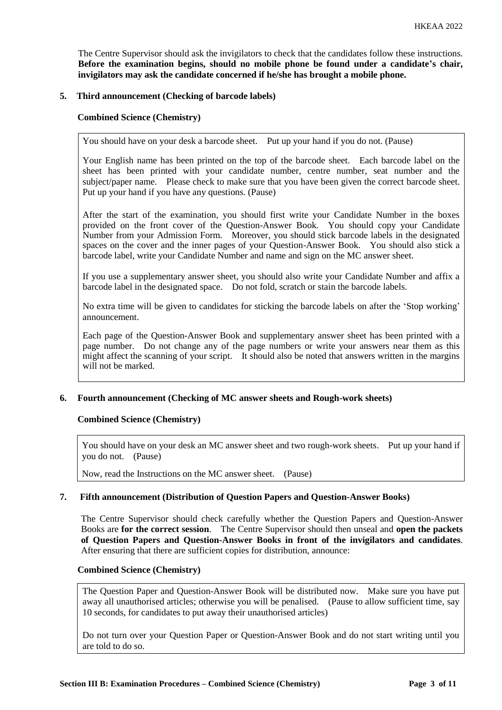The Centre Supervisor should ask the invigilators to check that the candidates follow these instructions. **Before the examination begins, should no mobile phone be found under a candidate's chair, invigilators may ask the candidate concerned if he/she has brought a mobile phone.**

#### **5. Third announcement (Checking of barcode labels)**

#### **Combined Science (Chemistry)**

You should have on your desk a barcode sheet. Put up your hand if you do not. (Pause)

Your English name has been printed on the top of the barcode sheet. Each barcode label on the sheet has been printed with your candidate number, centre number, seat number and the subject/paper name. Please check to make sure that you have been given the correct barcode sheet. Put up your hand if you have any questions. (Pause)

After the start of the examination, you should first write your Candidate Number in the boxes provided on the front cover of the Question-Answer Book. You should copy your Candidate Number from your Admission Form. Moreover, you should stick barcode labels in the designated spaces on the cover and the inner pages of your Question-Answer Book. You should also stick a barcode label, write your Candidate Number and name and sign on the MC answer sheet.

If you use a supplementary answer sheet, you should also write your Candidate Number and affix a barcode label in the designated space. Do not fold, scratch or stain the barcode labels.

No extra time will be given to candidates for sticking the barcode labels on after the 'Stop working' announcement.

Each page of the Question-Answer Book and supplementary answer sheet has been printed with a page number. Do not change any of the page numbers or write your answers near them as this might affect the scanning of your script. It should also be noted that answers written in the margins will not be marked.

#### **6. Fourth announcement (Checking of MC answer sheets and Rough-work sheets)**

#### **Combined Science (Chemistry)**

You should have on your desk an MC answer sheet and two rough-work sheets. Put up your hand if you do not. (Pause)

Now, read the Instructions on the MC answer sheet. (Pause)

#### **7. Fifth announcement (Distribution of Question Papers and Question-Answer Books)**

The Centre Supervisor should check carefully whether the Question Papers and Question-Answer Books are **for the correct session**. The Centre Supervisor should then unseal and **open the packets of Question Papers and Question-Answer Books in front of the invigilators and candidates**. After ensuring that there are sufficient copies for distribution, announce:

#### **Combined Science (Chemistry)**

The Question Paper and Question-Answer Book will be distributed now. Make sure you have put away all unauthorised articles; otherwise you will be penalised. (Pause to allow sufficient time, say 10 seconds, for candidates to put away their unauthorised articles)

Do not turn over your Question Paper or Question-Answer Book and do not start writing until you are told to do so.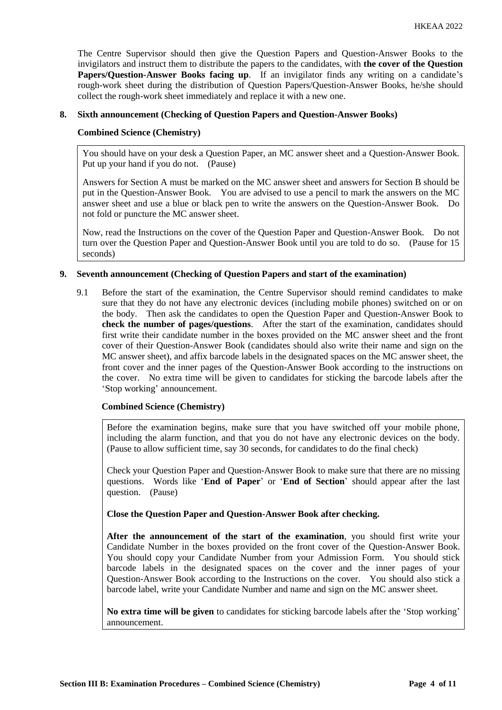The Centre Supervisor should then give the Question Papers and Question-Answer Books to the invigilators and instruct them to distribute the papers to the candidates, with **the cover of the Question Papers/Question-Answer Books facing up**. If an invigilator finds any writing on a candidate's rough-work sheet during the distribution of Question Papers/Question-Answer Books, he/she should collect the rough-work sheet immediately and replace it with a new one.

#### **8. Sixth announcement (Checking of Question Papers and Question-Answer Books)**

#### **Combined Science (Chemistry)**

You should have on your desk a Question Paper, an MC answer sheet and a Question-Answer Book. Put up your hand if you do not. (Pause)

Answers for Section A must be marked on the MC answer sheet and answers for Section B should be put in the Question-Answer Book. You are advised to use a pencil to mark the answers on the MC answer sheet and use a blue or black pen to write the answers on the Question-Answer Book. Do not fold or puncture the MC answer sheet.

Now, read the Instructions on the cover of the Question Paper and Question-Answer Book. Do not turn over the Question Paper and Question-Answer Book until you are told to do so. (Pause for 15 seconds)

#### **9. Seventh announcement (Checking of Question Papers and start of the examination)**

9.1 Before the start of the examination, the Centre Supervisor should remind candidates to make sure that they do not have any electronic devices (including mobile phones) switched on or on the body. Then ask the candidates to open the Question Paper and Question-Answer Book to **check the number of pages/questions**. After the start of the examination, candidates should first write their candidate number in the boxes provided on the MC answer sheet and the front cover of their Question-Answer Book (candidates should also write their name and sign on the MC answer sheet), and affix barcode labels in the designated spaces on the MC answer sheet, the front cover and the inner pages of the Question-Answer Book according to the instructions on the cover. No extra time will be given to candidates for sticking the barcode labels after the 'Stop working' announcement.

#### **Combined Science (Chemistry)**

Before the examination begins, make sure that you have switched off your mobile phone, including the alarm function, and that you do not have any electronic devices on the body. (Pause to allow sufficient time, say 30 seconds, for candidates to do the final check)

Check your Question Paper and Question-Answer Book to make sure that there are no missing questions. Words like '**End of Paper**' or '**End of Section**' should appear after the last question. (Pause)

**Close the Question Paper and Question-Answer Book after checking.**

**After the announcement of the start of the examination**, you should first write your Candidate Number in the boxes provided on the front cover of the Question-Answer Book. You should copy your Candidate Number from your Admission Form. You should stick barcode labels in the designated spaces on the cover and the inner pages of your Question-Answer Book according to the Instructions on the cover. You should also stick a barcode label, write your Candidate Number and name and sign on the MC answer sheet.

**No extra time will be given** to candidates for sticking barcode labels after the 'Stop working' announcement.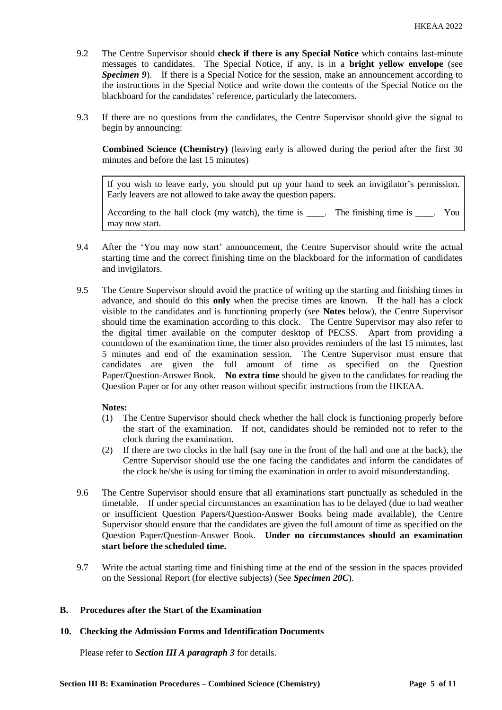- 9.2 The Centre Supervisor should **check if there is any Special Notice** which contains last-minute messages to candidates. The Special Notice, if any, is in a **bright yellow envelope** (see *Specimen 9*). If there is a Special Notice for the session, make an announcement according to the instructions in the Special Notice and write down the contents of the Special Notice on the blackboard for the candidates' reference, particularly the latecomers.
- 9.3 If there are no questions from the candidates, the Centre Supervisor should give the signal to begin by announcing:

**Combined Science (Chemistry)** (leaving early is allowed during the period after the first 30 minutes and before the last 15 minutes)

If you wish to leave early, you should put up your hand to seek an invigilator's permission. Early leavers are not allowed to take away the question papers.

According to the hall clock (my watch), the time is \_\_\_\_. The finishing time is \_\_\_\_. You may now start.

- 9.4 After the 'You may now start' announcement, the Centre Supervisor should write the actual starting time and the correct finishing time on the blackboard for the information of candidates and invigilators.
- 9.5 The Centre Supervisor should avoid the practice of writing up the starting and finishing times in advance, and should do this **only** when the precise times are known. If the hall has a clock visible to the candidates and is functioning properly (see **Notes** below), the Centre Supervisor should time the examination according to this clock. The Centre Supervisor may also refer to the digital timer available on the computer desktop of PECSS. Apart from providing a countdown of the examination time, the timer also provides reminders of the last 15 minutes, last 5 minutes and end of the examination session. The Centre Supervisor must ensure that candidates are given the full amount of time as specified on the Question Paper/Question-Answer Book. **No extra time** should be given to the candidates for reading the Question Paper or for any other reason without specific instructions from the HKEAA.

#### **Notes:**

- (1) The Centre Supervisor should check whether the hall clock is functioning properly before the start of the examination. If not, candidates should be reminded not to refer to the clock during the examination.
- (2) If there are two clocks in the hall (say one in the front of the hall and one at the back), the Centre Supervisor should use the one facing the candidates and inform the candidates of the clock he/she is using for timing the examination in order to avoid misunderstanding.
- 9.6 The Centre Supervisor should ensure that all examinations start punctually as scheduled in the timetable. If under special circumstances an examination has to be delayed (due to bad weather or insufficient Question Papers/Question-Answer Books being made available), the Centre Supervisor should ensure that the candidates are given the full amount of time as specified on the Question Paper/Question-Answer Book. **Under no circumstances should an examination start before the scheduled time.**
- 9.7 Write the actual starting time and finishing time at the end of the session in the spaces provided on the Sessional Report (for elective subjects) (See *Specimen 20C*).

#### **B. Procedures after the Start of the Examination**

#### **10. Checking the Admission Forms and Identification Documents**

Please refer to *Section III A paragraph 3* for details.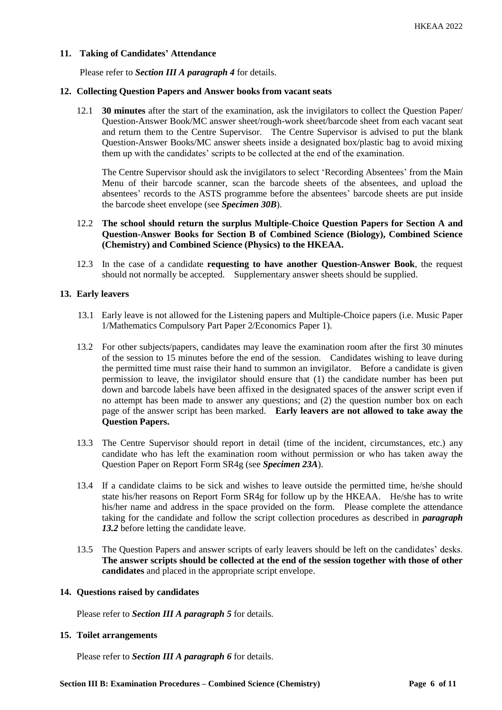#### **11. Taking of Candidates' Attendance**

Please refer to *Section III A paragraph 4* for details.

#### **12. Collecting Question Papers and Answer books from vacant seats**

12.1 **30 minutes** after the start of the examination, ask the invigilators to collect the Question Paper/ Question-Answer Book/MC answer sheet/rough-work sheet/barcode sheet from each vacant seat and return them to the Centre Supervisor. The Centre Supervisor is advised to put the blank Question-Answer Books/MC answer sheets inside a designated box/plastic bag to avoid mixing them up with the candidates' scripts to be collected at the end of the examination.

The Centre Supervisor should ask the invigilators to select 'Recording Absentees' from the Main Menu of their barcode scanner, scan the barcode sheets of the absentees, and upload the absentees' records to the ASTS programme before the absentees' barcode sheets are put inside the barcode sheet envelope (see *Specimen 30B*).

- 12.2 **The school should return the surplus Multiple-Choice Question Papers for Section A and Question-Answer Books for Section B of Combined Science (Biology), Combined Science (Chemistry) and Combined Science (Physics) to the HKEAA.**
- 12.3 In the case of a candidate **requesting to have another Question-Answer Book**, the request should not normally be accepted. Supplementary answer sheets should be supplied.

#### **13. Early leavers**

- 13.1 Early leave is not allowed for the Listening papers and Multiple-Choice papers (i.e. Music Paper 1/Mathematics Compulsory Part Paper 2/Economics Paper 1).
- 13.2 For other subjects/papers, candidates may leave the examination room after the first 30 minutes of the session to 15 minutes before the end of the session. Candidates wishing to leave during the permitted time must raise their hand to summon an invigilator. Before a candidate is given permission to leave, the invigilator should ensure that (1) the candidate number has been put down and barcode labels have been affixed in the designated spaces of the answer script even if no attempt has been made to answer any questions; and (2) the question number box on each page of the answer script has been marked. **Early leavers are not allowed to take away the Question Papers.**
- 13.3 The Centre Supervisor should report in detail (time of the incident, circumstances, etc.) any candidate who has left the examination room without permission or who has taken away the Question Paper on Report Form SR4g (see *Specimen 23A*).
- 13.4 If a candidate claims to be sick and wishes to leave outside the permitted time, he/she should state his/her reasons on Report Form SR4g for follow up by the HKEAA. He/she has to write his/her name and address in the space provided on the form. Please complete the attendance taking for the candidate and follow the script collection procedures as described in *paragraph 13.2* before letting the candidate leave.
- 13.5 The Question Papers and answer scripts of early leavers should be left on the candidates' desks. **The answer scripts should be collected at the end of the session together with those of other candidates** and placed in the appropriate script envelope.

#### **14. Questions raised by candidates**

Please refer to *Section III A paragraph 5* for details.

#### **15. Toilet arrangements**

Please refer to *Section III A paragraph 6* for details.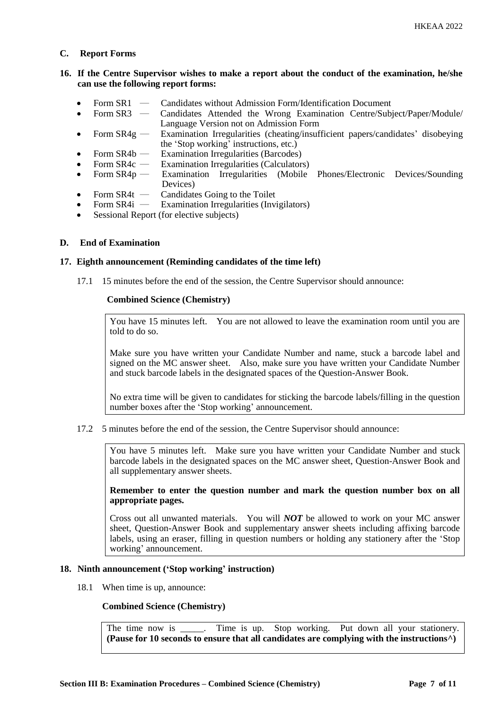#### **C. Report Forms**

#### **16. If the Centre Supervisor wishes to make a report about the conduct of the examination, he/she can use the following report forms:**

- Form SR1 ― Candidates without Admission Form/Identification Document
- Form SR3 ― Candidates Attended the Wrong Examination Centre/Subject/Paper/Module/ Language Version not on Admission Form
- Form SR4g Examination Irregularities (cheating/insufficient papers/candidates' disobeying the 'Stop working' instructions, etc.)
- Form SR4b Examination Irregularities (Barcodes)<br>Form SR4c Examination Irregularities (Calculator
- Form SR4c Examination Irregularities (Calculators)<br>Form SR4p Examination Irregularities (Mobile
- Form SR4p Examination Irregularities (Mobile Phones/Electronic Devices/Sounding Devices)
- Form SR4t Candidates Going to the Toilet<br>• Form SR4i Examination Irregularities (Invi
- **Examination Irregularities (Invigilators)**
- Sessional Report (for elective subjects)

#### **D. End of Examination**

#### **17. Eighth announcement (Reminding candidates of the time left)**

17.1 15 minutes before the end of the session, the Centre Supervisor should announce:

#### **Combined Science (Chemistry)**

You have 15 minutes left. You are not allowed to leave the examination room until you are told to do so.

Make sure you have written your Candidate Number and name, stuck a barcode label and signed on the MC answer sheet. Also, make sure you have written your Candidate Number and stuck barcode labels in the designated spaces of the Question-Answer Book.

No extra time will be given to candidates for sticking the barcode labels/filling in the question number boxes after the 'Stop working' announcement.

17.2 5 minutes before the end of the session, the Centre Supervisor should announce:

You have 5 minutes left. Make sure you have written your Candidate Number and stuck barcode labels in the designated spaces on the MC answer sheet, Question-Answer Book and all supplementary answer sheets.

**Remember to enter the question number and mark the question number box on all appropriate pages.** 

Cross out all unwanted materials. You will *NOT* be allowed to work on your MC answer sheet, Question-Answer Book and supplementary answer sheets including affixing barcode labels, using an eraser, filling in question numbers or holding any stationery after the 'Stop working' announcement.

#### **18. Ninth announcement ('Stop working' instruction)**

18.1 When time is up, announce:

#### **Combined Science (Chemistry)**

The time now is \_\_\_\_\_. Time is up. Stop working. Put down all your stationery. **(Pause for 10 seconds to ensure that all candidates are complying with the instructions^)**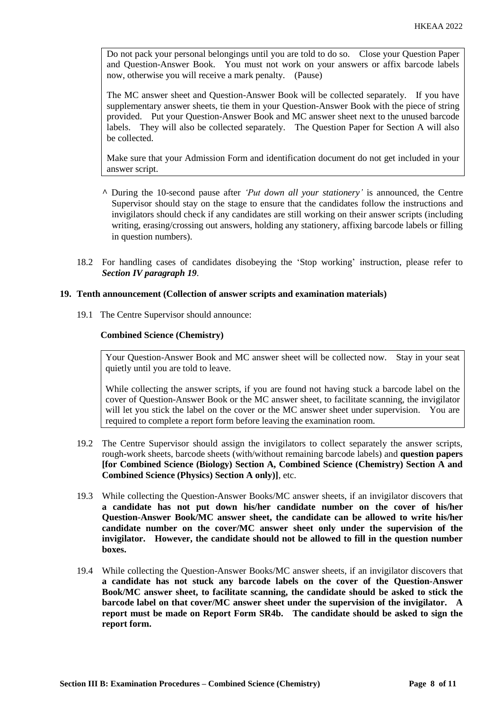Do not pack your personal belongings until you are told to do so. Close your Question Paper and Question-Answer Book. You must not work on your answers or affix barcode labels now, otherwise you will receive a mark penalty. (Pause)

The MC answer sheet and Question-Answer Book will be collected separately. If you have supplementary answer sheets, tie them in your Question-Answer Book with the piece of string provided. Put your Question-Answer Book and MC answer sheet next to the unused barcode labels. They will also be collected separately. The Question Paper for Section A will also be collected.

Make sure that your Admission Form and identification document do not get included in your answer script.

- **^** During the 10-second pause after *'Put down all your stationery'* is announced, the Centre Supervisor should stay on the stage to ensure that the candidates follow the instructions and invigilators should check if any candidates are still working on their answer scripts (including writing, erasing/crossing out answers, holding any stationery, affixing barcode labels or filling in question numbers).
- 18.2 For handling cases of candidates disobeying the 'Stop working' instruction, please refer to *Section IV paragraph 19*.

#### **19. Tenth announcement (Collection of answer scripts and examination materials)**

19.1 The Centre Supervisor should announce:

#### **Combined Science (Chemistry)**

Your Question-Answer Book and MC answer sheet will be collected now. Stay in your seat quietly until you are told to leave.

While collecting the answer scripts, if you are found not having stuck a barcode label on the cover of Question-Answer Book or the MC answer sheet, to facilitate scanning, the invigilator will let you stick the label on the cover or the MC answer sheet under supervision. You are required to complete a report form before leaving the examination room.

- 19.2 The Centre Supervisor should assign the invigilators to collect separately the answer scripts, rough-work sheets, barcode sheets (with/without remaining barcode labels) and **question papers [for Combined Science (Biology) Section A, Combined Science (Chemistry) Section A and Combined Science (Physics) Section A only)]**, etc.
- 19.3 While collecting the Question-Answer Books/MC answer sheets, if an invigilator discovers that **a candidate has not put down his/her candidate number on the cover of his/her Question-Answer Book/MC answer sheet, the candidate can be allowed to write his/her candidate number on the cover/MC answer sheet only under the supervision of the invigilator. However, the candidate should not be allowed to fill in the question number boxes.**
- 19.4 While collecting the Question-Answer Books/MC answer sheets, if an invigilator discovers that **a candidate has not stuck any barcode labels on the cover of the Question-Answer Book/MC answer sheet, to facilitate scanning, the candidate should be asked to stick the barcode label on that cover/MC answer sheet under the supervision of the invigilator. A report must be made on Report Form SR4b. The candidate should be asked to sign the report form.**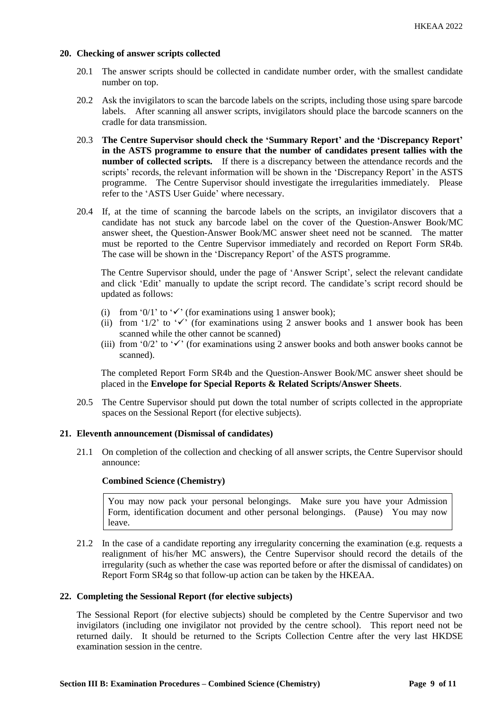#### **20. Checking of answer scripts collected**

- 20.1 The answer scripts should be collected in candidate number order, with the smallest candidate number on top.
- 20.2 Ask the invigilators to scan the barcode labels on the scripts, including those using spare barcode labels. After scanning all answer scripts, invigilators should place the barcode scanners on the cradle for data transmission.
- 20.3 **The Centre Supervisor should check the 'Summary Report' and the 'Discrepancy Report' in the ASTS programme to ensure that the number of candidates present tallies with the number of collected scripts.** If there is a discrepancy between the attendance records and the scripts' records, the relevant information will be shown in the 'Discrepancy Report' in the ASTS programme. The Centre Supervisor should investigate the irregularities immediately. Please refer to the 'ASTS User Guide' where necessary.
- 20.4 If, at the time of scanning the barcode labels on the scripts, an invigilator discovers that a candidate has not stuck any barcode label on the cover of the Question-Answer Book/MC answer sheet, the Question-Answer Book/MC answer sheet need not be scanned. The matter must be reported to the Centre Supervisor immediately and recorded on Report Form SR4b. The case will be shown in the 'Discrepancy Report' of the ASTS programme.

The Centre Supervisor should, under the page of 'Answer Script', select the relevant candidate and click 'Edit' manually to update the script record. The candidate's script record should be updated as follows:

- (i) from '0/1' to ' $\checkmark$ ' (for examinations using 1 answer book);
- (ii) from '1/2' to ' $\checkmark$ ' (for examinations using 2 answer books and 1 answer book has been scanned while the other cannot be scanned)
- (iii) from '0/2' to ' $\checkmark$ ' (for examinations using 2 answer books and both answer books cannot be scanned).

The completed Report Form SR4b and the Question-Answer Book/MC answer sheet should be placed in the **Envelope for Special Reports & Related Scripts/Answer Sheets**.

20.5 The Centre Supervisor should put down the total number of scripts collected in the appropriate spaces on the Sessional Report (for elective subjects).

#### **21. Eleventh announcement (Dismissal of candidates)**

21.1 On completion of the collection and checking of all answer scripts, the Centre Supervisor should announce:

#### **Combined Science (Chemistry)**

You may now pack your personal belongings. Make sure you have your Admission Form, identification document and other personal belongings. (Pause) You may now leave.

21.2 In the case of a candidate reporting any irregularity concerning the examination (e.g. requests a realignment of his/her MC answers), the Centre Supervisor should record the details of the irregularity (such as whether the case was reported before or after the dismissal of candidates) on Report Form SR4g so that follow-up action can be taken by the HKEAA.

#### **22. Completing the Sessional Report (for elective subjects)**

The Sessional Report (for elective subjects) should be completed by the Centre Supervisor and two invigilators (including one invigilator not provided by the centre school). This report need not be returned daily. It should be returned to the Scripts Collection Centre after the very last HKDSE examination session in the centre.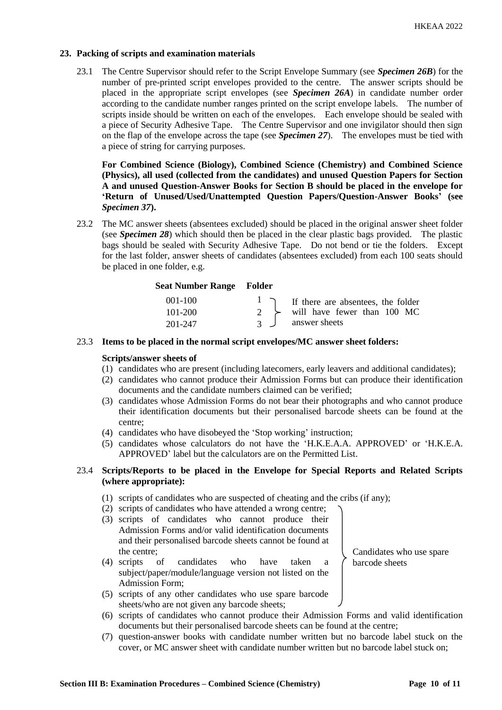#### **23. Packing of scripts and examination materials**

23.1 The Centre Supervisor should refer to the Script Envelope Summary (see *Specimen 26B*) for the number of pre-printed script envelopes provided to the centre. The answer scripts should be placed in the appropriate script envelopes (see *Specimen 26A*) in candidate number order according to the candidate number ranges printed on the script envelope labels. The number of scripts inside should be written on each of the envelopes. Each envelope should be sealed with a piece of Security Adhesive Tape. The Centre Supervisor and one invigilator should then sign on the flap of the envelope across the tape (see *Specimen 27*). The envelopes must be tied with a piece of string for carrying purposes.

**For Combined Science (Biology), Combined Science (Chemistry) and Combined Science (Physics), all used (collected from the candidates) and unused Question Papers for Section A and unused Question-Answer Books for Section B should be placed in the envelope for 'Return of Unused/Used/Unattempted Question Papers/Question-Answer Books' (see**  *Specimen 37***).**

23.2 The MC answer sheets (absentees excluded) should be placed in the original answer sheet folder (see *Specimen 28*) which should then be placed in the clear plastic bags provided. The plastic bags should be sealed with Security Adhesive Tape. Do not bend or tie the folders. Except for the last folder, answer sheets of candidates (absentees excluded) from each 100 seats should be placed in one folder, e.g.

### **Seat Number Range Folder**

| $001 - 100$ |               | I if there are absentees, the folder |
|-------------|---------------|--------------------------------------|
| $101 - 200$ |               | will have fewer than 100 MC          |
| 201-247     | $\mathcal{R}$ | answer sheets                        |

#### 23.3 **Items to be placed in the normal script envelopes/MC answer sheet folders:**

#### **Scripts/answer sheets of**

- (1) candidates who are present (including latecomers, early leavers and additional candidates);
- (2) candidates who cannot produce their Admission Forms but can produce their identification documents and the candidate numbers claimed can be verified;
- (3) candidates whose Admission Forms do not bear their photographs and who cannot produce their identification documents but their personalised barcode sheets can be found at the centre;
- (4) candidates who have disobeyed the 'Stop working' instruction;
- (5) candidates whose calculators do not have the 'H.K.E.A.A. APPROVED' or 'H.K.E.A. APPROVED' label but the calculators are on the Permitted List.

#### 23.4 **Scripts/Reports to be placed in the Envelope for Special Reports and Related Scripts (where appropriate):**

- (1) scripts of candidates who are suspected of cheating and the cribs (if any);
- (2) scripts of candidates who have attended a wrong centre;
- (3) scripts of candidates who cannot produce their Admission Forms and/or valid identification documents and their personalised barcode sheets cannot be found at the centre;
- (4) scripts of candidates who have taken a subject/paper/module/language version not listed on the Admission Form;
- (5) scripts of any other candidates who use spare barcode sheets/who are not given any barcode sheets;
- (6) scripts of candidates who cannot produce their Admission Forms and valid identification documents but their personalised barcode sheets can be found at the centre;
- (7) question-answer books with candidate number written but no barcode label stuck on the cover, or MC answer sheet with candidate number written but no barcode label stuck on;

Candidates who use spare

barcode sheets